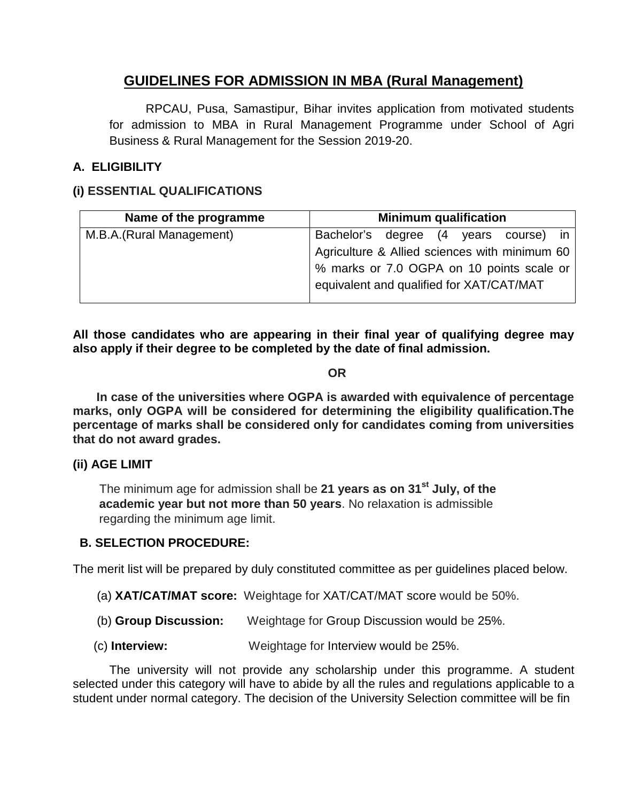# **GUIDELINES FOR ADMISSION IN MBA (Rural Management)**

RPCAU, Pusa, Samastipur, Bihar invites application from motivated students for admission to MBA in Rural Management Programme under School of Agri Business & Rural Management for the Session 2019-20.

# **A. ELIGIBILITY**

## **(i) ESSENTIAL QUALIFICATIONS**

| Name of the programme     | <b>Minimum qualification</b>                  |
|---------------------------|-----------------------------------------------|
| M.B.A. (Rural Management) | Bachelor's degree (4 years course) in         |
|                           | Agriculture & Allied sciences with minimum 60 |
|                           | % marks or 7.0 OGPA on 10 points scale or     |
|                           | equivalent and qualified for XAT/CAT/MAT      |
|                           |                                               |

**All those candidates who are appearing in their final year of qualifying degree may also apply if their degree to be completed by the date of final admission.**

#### **OR**

 **In case of the universities where OGPA is awarded with equivalence of percentage marks, only OGPA will be considered for determining the eligibility qualification.The percentage of marks shall be considered only for candidates coming from universities that do not award grades.**

#### **(ii) AGE LIMIT**

The minimum age for admission shall be **21 years as on 31st July, of the academic year but not more than 50 years**. No relaxation is admissible regarding the minimum age limit.

### **B. SELECTION PROCEDURE:**

The merit list will be prepared by duly constituted committee as per guidelines placed below.

- (a) **XAT/CAT/MAT score:** Weightage for XAT/CAT/MAT score would be 50%.
- (b) **Group Discussion:** Weightage for Group Discussion would be 25%.
- (c) **Interview:** Weightage for Interview would be 25%.

The university will not provide any scholarship under this programme. A student selected under this category will have to abide by all the rules and regulations applicable to a student under normal category. The decision of the University Selection committee will be fin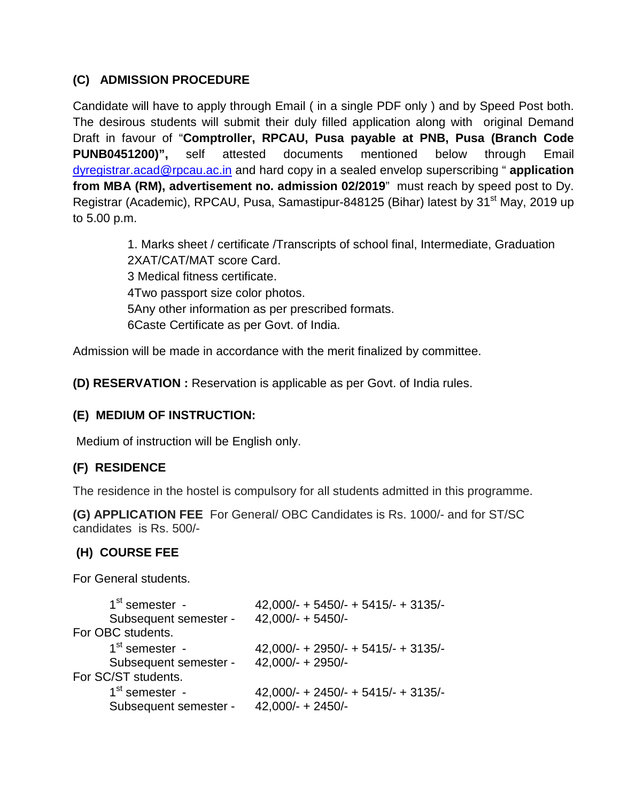# **(C) ADMISSION PROCEDURE**

Candidate will have to apply through Email ( in a single PDF only ) and by Speed Post both. The desirous students will submit their duly filled application along with original Demand Draft in favour of "**Comptroller, RPCAU, Pusa payable at PNB, Pusa (Branch Code PUNB0451200)",** self attested documents mentioned below through Email [dyregistrar.acad@rpcau.ac.in](mailto:dyregistrar.acad@rpcau.ac.in) and hard copy in a sealed envelop superscribing " **application from MBA (RM), advertisement no. admission 02/2019**" must reach by speed post to Dy. Registrar (Academic), RPCAU, Pusa, Samastipur-848125 (Bihar) latest by 31<sup>st</sup> May, 2019 up to 5.00 p.m.

> 1. Marks sheet / certificate /Transcripts of school final, Intermediate, Graduation 2XAT/CAT/MAT score Card. 3 Medical fitness certificate. 4Two passport size color photos. 5Any other information as per prescribed formats. 6Caste Certificate as per Govt. of India.

Admission will be made in accordance with the merit finalized by committee.

**(D) RESERVATION :** Reservation is applicable as per Govt. of India rules.

# **(E) MEDIUM OF INSTRUCTION:**

Medium of instruction will be English only.

# **(F) RESIDENCE**

The residence in the hostel is compulsory for all students admitted in this programme.

**(G) APPLICATION FEE** For General/ OBC Candidates is Rs. 1000/- and for ST/SC candidates is Rs. 500/-

# **(H) COURSE FEE**

For General students.

| $1st$ semester -      | 42,000/- + 5450/- + 5415/- + 3135/-   |
|-----------------------|---------------------------------------|
| Subsequent semester - | $42,000/- + 5450/-$                   |
| For OBC students.     |                                       |
| $1st$ semester -      | 42,000/- + 2950/- + 5415/- + 3135/-   |
| Subsequent semester - | $42,000/- + 2950/-$                   |
| For SC/ST students.   |                                       |
| $1st$ semester -      | $42,000/- + 2450/- + 5415/- + 3135/-$ |
| Subsequent semester - | $42,000/- + 2450/-$                   |